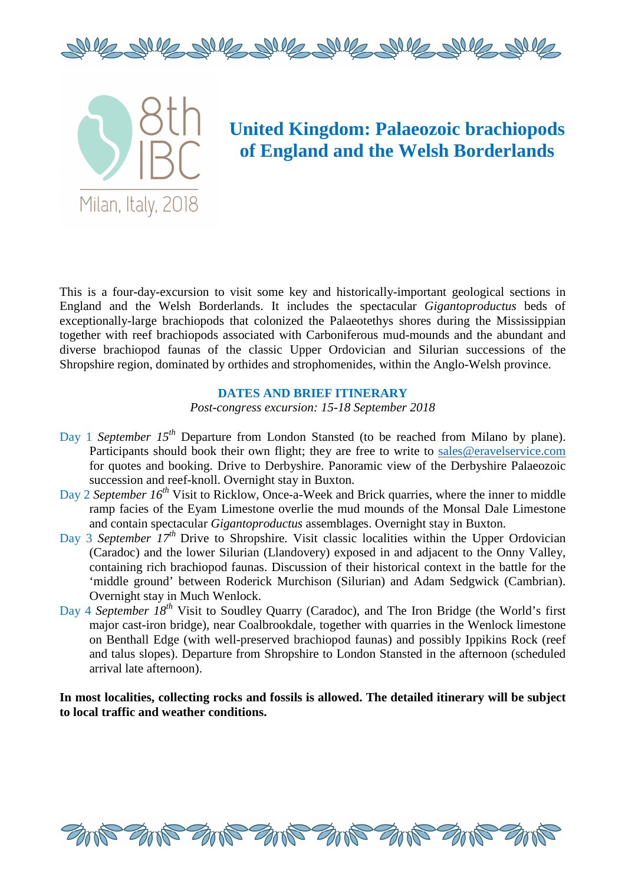



# **United Kingdom: Palaeozoic brachiopods of England and the Welsh Borderlands**

This is a four-day-excursion to visit some key and historically-important geological sections in England and the Welsh Borderlands. It includes the spectacular *Gigantoproductus* beds of exceptionally-large brachiopods that colonized the Palaeotethys shores during the Mississippian together with reef brachiopods associated with Carboniferous mud-mounds and the abundant and diverse brachiopod faunas of the classic Upper Ordovician and Silurian successions of the Shropshire region, dominated by orthides and strophomenides, within the Anglo-Welsh province.

### **DATES AND BRIEF ITINERARY**

*Post-congress excursion: 15-18 September 2018* 

- Day 1 *September 15<sup>th</sup>* Departure from London Stansted (to be reached from Milano by plane). Participants should book their own flight; they are free to write to sales@eravelservice.com for quotes and booking. Drive to Derbyshire. Panoramic view of the Derbyshire Palaeozoic succession and reef-knoll. Overnight stay in Buxton.
- Day 2 *September 16th* Visit to Ricklow, Once-a-Week and Brick quarries, where the inner to middle ramp facies of the Eyam Limestone overlie the mud mounds of the Monsal Dale Limestone and contain spectacular *Gigantoproductus* assemblages. Overnight stay in Buxton.
- Day 3 *September 17<sup>th</sup>* Drive to Shropshire. Visit classic localities within the Upper Ordovician (Caradoc) and the lower Silurian (Llandovery) exposed in and adjacent to the Onny Valley, containing rich brachiopod faunas. Discussion of their historical context in the battle for the 'middle ground' between Roderick Murchison (Silurian) and Adam Sedgwick (Cambrian). Overnight stay in Much Wenlock.
- Day 4 *September 18th* Visit to Soudley Quarry (Caradoc), and The Iron Bridge (the World's first major cast-iron bridge), near Coalbrookdale, together with quarries in the Wenlock limestone on Benthall Edge (with well-preserved brachiopod faunas) and possibly Ippikins Rock (reef and talus slopes). Departure from Shropshire to London Stansted in the afternoon (scheduled arrival late afternoon).

**In most localities, collecting rocks and fossils is allowed. The detailed itinerary will be subject to local traffic and weather conditions.** 

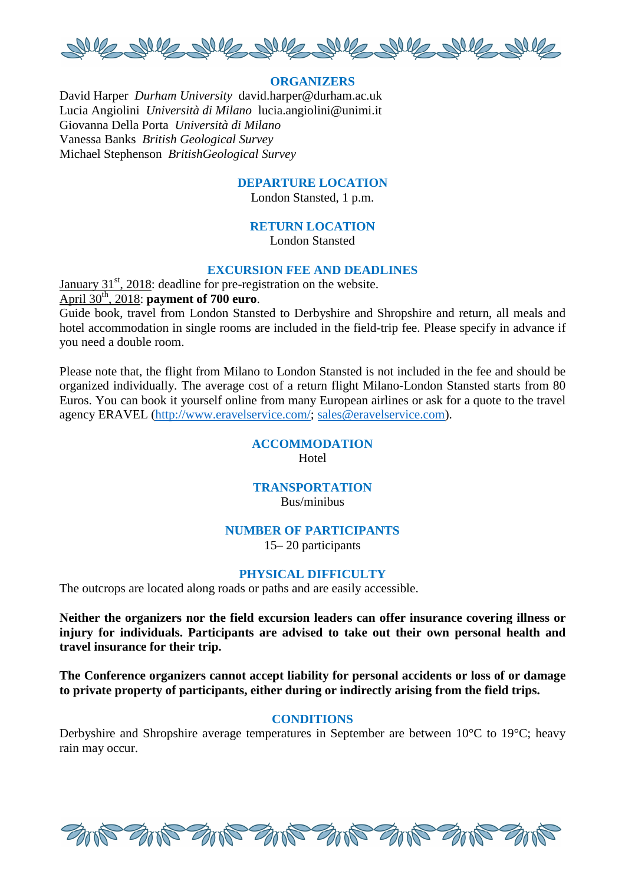

# **ORGANIZERS**

David Harper *Durham University* david.harper@durham.ac.uk Lucia Angiolini *Università di Milano* lucia.angiolini@unimi.it Giovanna Della Porta *Università di Milano* Vanessa Banks *British Geological Survey* Michael Stephenson *BritishGeological Survey* 

#### **DEPARTURE LOCATION**

London Stansted, 1 p.m.

### **RETURN LOCATION**

London Stansted

# **EXCURSION FEE AND DEADLINES**

January  $31<sup>st</sup>$ , 2018: deadline for pre-registration on the website. April 30th, 2018: **payment of 700 euro**.

Guide book, travel from London Stansted to Derbyshire and Shropshire and return, all meals and hotel accommodation in single rooms are included in the field-trip fee. Please specify in advance if you need a double room.

Please note that, the flight from Milano to London Stansted is not included in the fee and should be organized individually. The average cost of a return flight Milano-London Stansted starts from 80 Euros. You can book it yourself online from many European airlines or ask for a quote to the travel agency ERAVEL (http://www.eravelservice.com/; sales@eravelservice.com).

#### **ACCOMMODATION**  Hotel

# **TRANSPORTATION** Bus/minibus

#### **NUMBER OF PARTICIPANTS**

15– 20 participants

#### **PHYSICAL DIFFICULTY**

The outcrops are located along roads or paths and are easily accessible.

**Neither the organizers nor the field excursion leaders can offer insurance covering illness or injury for individuals. Participants are advised to take out their own personal health and travel insurance for their trip.**

**The Conference organizers cannot accept liability for personal accidents or loss of or damage to private property of participants, either during or indirectly arising from the field trips.** 

#### **CONDITIONS**

Derbyshire and Shropshire average temperatures in September are between 10°C to 19°C; heavy rain may occur.